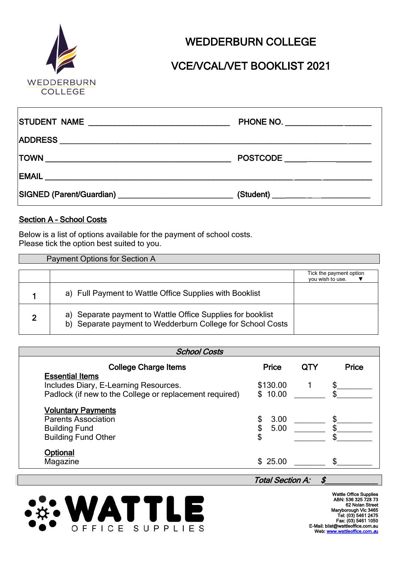

# VCE/VCAL/VET BOOKLIST 2021

| PHONE NO. ___________________ |
|-------------------------------|
|                               |
| POSTCODE                      |
|                               |
|                               |

#### Section A – School Costs

Below is a list of options available for the payment of school costs. Please tick the option best suited to you.

|   | Payment Options for Section A                                                                                               |                                             |  |  |  |  |
|---|-----------------------------------------------------------------------------------------------------------------------------|---------------------------------------------|--|--|--|--|
|   |                                                                                                                             | Tick the payment option<br>vou wish to use. |  |  |  |  |
|   | a) Full Payment to Wattle Office Supplies with Booklist                                                                     |                                             |  |  |  |  |
| ◠ | a) Separate payment to Wattle Office Supplies for booklist<br>Separate payment to Wedderburn College for School Costs<br>b) |                                             |  |  |  |  |

| <b>School Costs</b>                                                                                                        |                                |     |       |  |  |  |
|----------------------------------------------------------------------------------------------------------------------------|--------------------------------|-----|-------|--|--|--|
| <b>College Charge Items</b>                                                                                                | Price                          | QTY | Price |  |  |  |
| <b>Essential Items</b><br>Includes Diary, E-Learning Resources.<br>Padlock (if new to the College or replacement required) | \$130.00<br>\$10.00            |     |       |  |  |  |
| <b>Voluntary Payments</b><br><b>Parents Association</b><br><b>Building Fund</b><br><b>Building Fund Other</b>              | 3.00<br>\$<br>\$<br>5.00<br>\$ |     |       |  |  |  |
| Optional<br>Magazine                                                                                                       | \$25.00                        |     |       |  |  |  |
|                                                                                                                            | <b>Total Section A:</b>        |     |       |  |  |  |



Wattle Office Supplies ABN: 536 325 728 73 62 Nolan Stre Maryborough Vic 3465<br>Tel: (03) 5461 2475<br>Fax: (03) 5461 1050<br>E-Mail: blist@wattleoffice.com.au<br>Web[: www.wattleoffice.com.](http://www.wattleoffice.com.au/)*au*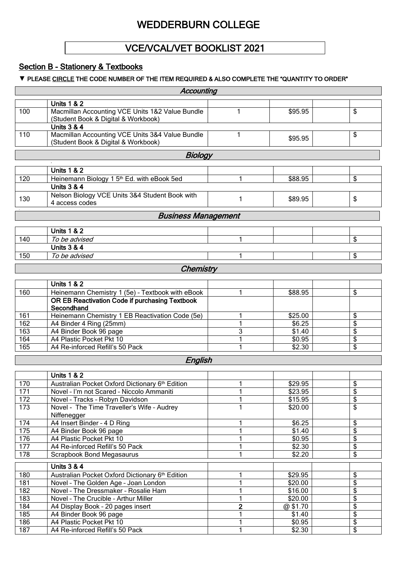### VCE/VCAL/VET BOOKLIST 2021

### Section B - Stationery & Textbooks

#### **▼** PLEASE CIRCLE THE CODE NUMBER OF THE ITEM REQUIRED & ALSO COMPLETE THE "QUANTITY TO ORDER"

| Accounting                                                    |                                                              |                |                    |                 |  |  |
|---------------------------------------------------------------|--------------------------------------------------------------|----------------|--------------------|-----------------|--|--|
|                                                               | <b>Units 1 &amp; 2</b>                                       |                |                    |                 |  |  |
| 100                                                           | Macmillan Accounting VCE Units 1&2 Value Bundle              | 1              | \$95.95            | \$              |  |  |
| (Student Book & Digital & Workbook)<br><b>Units 3 &amp; 4</b> |                                                              |                |                    |                 |  |  |
| 110                                                           | Macmillan Accounting VCE Units 3&4 Value Bundle              | 1              |                    | \$              |  |  |
|                                                               | (Student Book & Digital & Workbook)                          |                | \$95.95            |                 |  |  |
|                                                               | <b>Biology</b>                                               |                |                    |                 |  |  |
|                                                               | <b>Units 1 &amp; 2</b>                                       |                |                    |                 |  |  |
| 120                                                           | Heinemann Biology 1 5 <sup>th</sup> Ed. with eBook 5ed       |                | \$88.95            | \$              |  |  |
|                                                               | <b>Units 3 &amp; 4</b>                                       |                |                    |                 |  |  |
|                                                               | Nelson Biology VCE Units 3&4 Student Book with               |                |                    |                 |  |  |
| 130                                                           | 4 access codes                                               | 1              | \$89.95            | \$              |  |  |
|                                                               | <b>Business Management</b>                                   |                |                    |                 |  |  |
|                                                               | <b>Units 1 &amp; 2</b>                                       |                |                    |                 |  |  |
| 140                                                           | To be advised                                                |                |                    | \$              |  |  |
|                                                               | <b>Units 3 &amp; 4</b>                                       |                |                    |                 |  |  |
| 150                                                           | To be advised                                                |                |                    | \$              |  |  |
|                                                               | Chemistry                                                    |                |                    |                 |  |  |
|                                                               |                                                              |                |                    |                 |  |  |
|                                                               | <b>Units 1 &amp; 2</b>                                       |                |                    |                 |  |  |
| 160                                                           | Heinemann Chemistry 1 (5e) - Textbook with eBook             |                | \$88.95            | \$              |  |  |
|                                                               | OR EB Reactivation Code if purchasing Textbook<br>Secondhand |                |                    |                 |  |  |
| 161                                                           | Heinemann Chemistry 1 EB Reactivation Code (5e)              |                | \$25.00            | \$              |  |  |
| 162                                                           | A4 Binder 4 Ring (25mm)                                      |                | \$6.25             | \$              |  |  |
| 163                                                           | A4 Binder Book 96 page                                       | 3              | $\overline{$}1.40$ | \$              |  |  |
| 164                                                           | A4 Plastic Pocket Pkt 10                                     |                | \$0.95             | \$              |  |  |
| 165                                                           | A4 Re-inforced Refill's 50 Pack                              |                | \$2.30             | \$              |  |  |
|                                                               | English                                                      |                |                    |                 |  |  |
|                                                               | <b>Units 1 &amp; 2</b>                                       |                |                    |                 |  |  |
| 170                                                           | Australian Pocket Oxford Dictionary 6th Edition              | 1              | \$29.95            | \$              |  |  |
| 171                                                           | Novel - I'm not Scared - Niccolo Ammaniti                    |                | \$23.95            | \$              |  |  |
| 172                                                           | Novel - Tracks - Robyn Davidson                              |                | \$15.95            | $\overline{\$}$ |  |  |
| 173                                                           | Novel - The Time Traveller's Wife - Audrey                   | 1              | \$20.00            | \$              |  |  |
|                                                               | Niffenegger                                                  |                |                    |                 |  |  |
| 174                                                           | A4 Insert Binder - 4 D Ring                                  | 1              | \$6.25             | \$              |  |  |
| 175                                                           | A4 Binder Book 96 page                                       | 1              | \$1.40             | \$              |  |  |
| 176                                                           | A4 Plastic Pocket Pkt 10                                     |                | \$0.95             | \$              |  |  |
| 177                                                           | A4 Re-inforced Refill's 50 Pack                              | 1              | \$2.30             | \$              |  |  |
| $\overline{178}$                                              | <b>Scrapbook Bond Megasaurus</b>                             | 1              | \$2.20             | \$              |  |  |
|                                                               | <b>Units 3 &amp; 4</b>                                       |                |                    |                 |  |  |
| 180                                                           | Australian Pocket Oxford Dictionary 6th Edition              | 1              | \$29.95            | \$              |  |  |
| 181                                                           | Novel - The Golden Age - Joan London                         | 1              | \$20.00            | \$              |  |  |
| 182                                                           | Novel - The Dressmaker - Rosalie Ham                         | 1              | \$16.00            | \$              |  |  |
| 183                                                           | Novel - The Crucible - Arthur Miller                         | 1              | \$20.00            | \$              |  |  |
| 184                                                           | A4 Display Book - 20 pages insert                            | $\overline{2}$ | @\$1.70            | \$              |  |  |
| 185                                                           | A4 Binder Book 96 page                                       | 1              | $\sqrt{$1.40}$     | \$              |  |  |
| 186                                                           | A4 Plastic Pocket Pkt 10                                     | 1              | \$0.95             | \$<br>\$        |  |  |
| 187                                                           | A4 Re-inforced Refill's 50 Pack                              |                | \$2.30             |                 |  |  |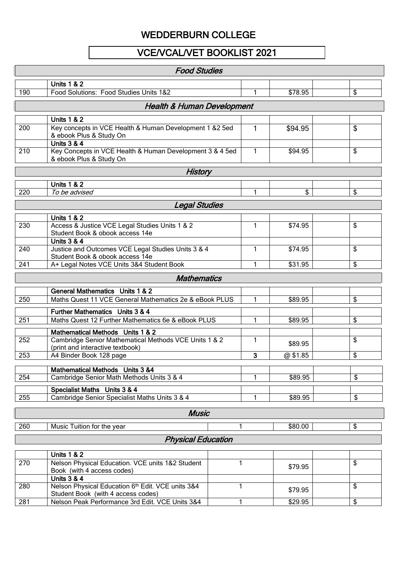### VCE/VCAL/VET BOOKLIST 2021

|     | <b>Food Studies</b>                                                                                             |   |   |         |    |  |
|-----|-----------------------------------------------------------------------------------------------------------------|---|---|---------|----|--|
|     | <b>Units 1 &amp; 2</b>                                                                                          |   |   |         |    |  |
| 190 | Food Solutions: Food Studies Units 1&2                                                                          |   | 1 | \$78.95 | \$ |  |
|     | <b>Health &amp; Human Development</b>                                                                           |   |   |         |    |  |
|     | <b>Units 1 &amp; 2</b>                                                                                          |   |   |         |    |  |
| 200 | Key concepts in VCE Health & Human Development 1 &2 5ed<br>& ebook Plus & Study On                              |   | 1 | \$94.95 | \$ |  |
| 210 | <b>Units 3 &amp; 4</b><br>Key Concepts in VCE Health & Human Development 3 & 4 5ed<br>& ebook Plus & Study On   |   | 1 | \$94.95 | \$ |  |
|     | <b>History</b>                                                                                                  |   |   |         |    |  |
|     | <b>Units 1 &amp; 2</b>                                                                                          |   |   |         |    |  |
| 220 | To be advised                                                                                                   |   | 1 | \$      | \$ |  |
|     | <b>Legal Studies</b>                                                                                            |   |   |         |    |  |
|     | <b>Units 1 &amp; 2</b>                                                                                          |   |   |         |    |  |
| 230 | Access & Justice VCE Legal Studies Units 1 & 2<br>Student Book & obook access 14e                               |   | 1 | \$74.95 | \$ |  |
| 240 | <b>Units 3 &amp; 4</b><br>Justice and Outcomes VCE Legal Studies Units 3 & 4<br>Student Book & obook access 14e |   | 1 | \$74.95 | \$ |  |
| 241 | A+ Legal Notes VCE Units 3&4 Student Book                                                                       |   | 1 | \$31.95 | \$ |  |
|     | <b>Mathematics</b>                                                                                              |   |   |         |    |  |
|     | <b>General Mathematics</b> Units 1 & 2                                                                          |   |   |         |    |  |
| 250 | Maths Quest 11 VCE General Mathematics 2e & eBook PLUS                                                          |   | 1 | \$89.95 | \$ |  |
|     | Further Mathematics Units 3 & 4                                                                                 |   |   |         |    |  |
| 251 | Maths Quest 12 Further Mathematics 6e & eBook PLUS                                                              |   | 1 | \$89.95 | \$ |  |
|     | Mathematical Methods Units 1 & 2                                                                                |   |   |         |    |  |
| 252 | Cambridge Senior Mathematical Methods VCE Units 1 & 2<br>(print and interactive textbook)                       |   | 1 | \$89.95 | \$ |  |
| 253 | A4 Binder Book 128 page                                                                                         |   | 3 | @\$1.85 | \$ |  |
|     | <b>Mathematical Methods</b> Units 3 &4                                                                          |   |   |         |    |  |
| 254 | Cambridge Senior Math Methods Units 3 & 4                                                                       |   | 1 | \$89.95 | \$ |  |
| 255 | Specialist Maths Units 3 & 4<br>Cambridge Senior Specialist Maths Units 3 & 4                                   |   | 1 | \$89.95 | \$ |  |
|     | <b>Music</b>                                                                                                    |   |   |         |    |  |
| 260 | Music Tuition for the year                                                                                      | 1 |   | \$80.00 | \$ |  |
|     | <b>Physical Education</b>                                                                                       |   |   |         |    |  |
|     |                                                                                                                 |   |   |         |    |  |
| 270 | <b>Units 1 &amp; 2</b><br>Nelson Physical Education. VCE units 1&2 Student                                      | 1 |   |         | \$ |  |
|     | Book (with 4 access codes)<br><b>Units 3 &amp; 4</b>                                                            |   |   | \$79.95 |    |  |
| 280 | Nelson Physical Education 6th Edit. VCE units 3&4<br>Student Book (with 4 access codes)                         | 1 |   | \$79.95 | \$ |  |

281 | Nelson Peak Performance 3rd Edit. VCE Units 3&4 | 1 | \$29.95 | | \$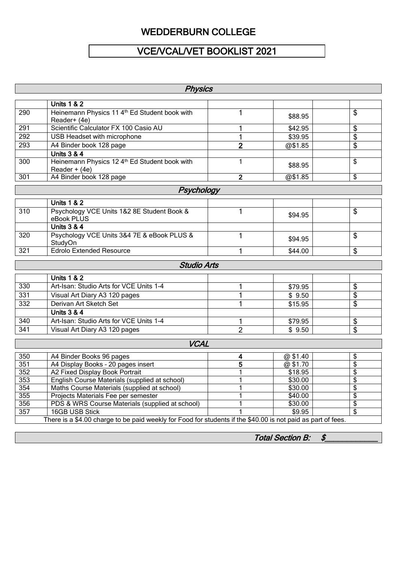# VCE/VCAL/VET BOOKLIST 2021

| <b>Physics</b>   |                                                                                                              |                |         |    |  |  |
|------------------|--------------------------------------------------------------------------------------------------------------|----------------|---------|----|--|--|
|                  | <b>Units 1 &amp; 2</b>                                                                                       |                |         |    |  |  |
| 290              | Heinemann Physics 11 4 <sup>th</sup> Ed Student book with<br>Reader+ (4e)                                    | 1              | \$88.95 | \$ |  |  |
| 291              | Scientific Calculator FX 100 Casio AU                                                                        |                | \$42.95 | \$ |  |  |
| 292              | USB Headset with microphone                                                                                  | 1              | \$39.95 | \$ |  |  |
| 293              | A4 Binder book 128 page                                                                                      | $\overline{2}$ | @\$1.85 | \$ |  |  |
|                  | <b>Units 3 &amp; 4</b>                                                                                       |                |         |    |  |  |
| 300              | Heinemann Physics 12 4th Ed Student book with<br>Reader $+$ (4e)                                             | $\mathbf{1}$   | \$88.95 | \$ |  |  |
| 301              | A4 Binder book 128 page                                                                                      | $\overline{2}$ | @\$1.85 | \$ |  |  |
|                  | Psychology                                                                                                   |                |         |    |  |  |
|                  | <b>Units 1 &amp; 2</b>                                                                                       |                |         |    |  |  |
| 310              | Psychology VCE Units 1&2 8E Student Book &<br>eBook PLUS                                                     | 1              | \$94.95 | \$ |  |  |
|                  | <b>Units 3 &amp; 4</b>                                                                                       |                |         |    |  |  |
| 320              | Psychology VCE Units 3&4 7E & eBook PLUS &<br>StudyOn                                                        | 1              | \$94.95 | \$ |  |  |
| $\overline{321}$ | <b>Edrolo Extended Resource</b>                                                                              | 1              | \$44.00 | \$ |  |  |
|                  | <b>Studio Arts</b>                                                                                           |                |         |    |  |  |
|                  | <b>Units 1 &amp; 2</b>                                                                                       |                |         |    |  |  |
| 330              | Art-Isan: Studio Arts for VCE Units 1-4                                                                      | 1              | \$79.95 | \$ |  |  |
| 331              | Visual Art Diary A3 120 pages                                                                                | 1              | \$9.50  | \$ |  |  |
| 332              | Derivan Art Sketch Set                                                                                       | 1              | \$15.95 | \$ |  |  |
|                  | <b>Units 3 &amp; 4</b>                                                                                       |                |         |    |  |  |
| 340              | Art-Isan: Studio Arts for VCE Units 1-4                                                                      | 1              | \$79.95 | \$ |  |  |
| $\overline{341}$ | Visual Art Diary A3 120 pages                                                                                | $\overline{2}$ | \$9.50  | \$ |  |  |
|                  |                                                                                                              |                |         |    |  |  |
|                  | <b>VCAL</b>                                                                                                  |                |         |    |  |  |
| 350              | A4 Binder Books 96 pages                                                                                     | 4              | @\$1.40 | \$ |  |  |
| 351              | A4 Display Books - 20 pages insert                                                                           | 5              | @\$1.70 | \$ |  |  |
| 352              | A2 Fixed Display Book Portrait                                                                               |                | \$18.95 | \$ |  |  |
| 353              | English Course Materials (supplied at school)                                                                | 1              | \$30.00 | \$ |  |  |
| 354              | Maths Course Materials (supplied at school)                                                                  | 1              | \$30.00 | \$ |  |  |
| 355              | Projects Materials Fee per semester                                                                          |                | \$40.00 | \$ |  |  |
| 356              | PDS & WRS Course Materials (supplied at school)                                                              |                | \$30.00 | \$ |  |  |
| $\overline{357}$ | \$<br>16GB USB Stick<br>\$9.95                                                                               |                |         |    |  |  |
|                  | There is a \$4.00 charge to be paid weekly for Food for students if the \$40.00 is not paid as part of fees. |                |         |    |  |  |

Total Section B: \$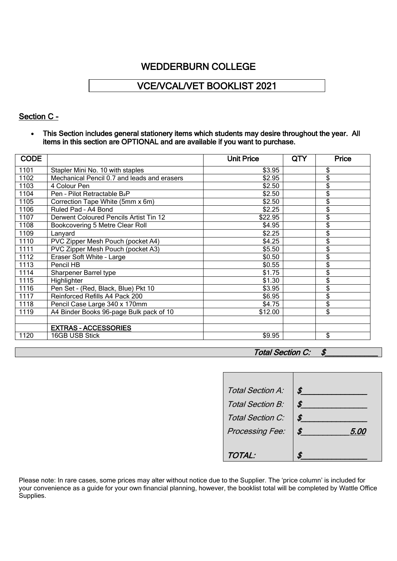## VCE/VCAL/VET BOOKLIST 2021

### Section C -

• This Section includes general stationery items which students may desire throughout the year. All items in this section are OPTIONAL and are available if you want to purchase.

| <b>CODE</b> |                                             | <b>Unit Price</b> | QTY | <b>Price</b>            |
|-------------|---------------------------------------------|-------------------|-----|-------------------------|
| 1101        | Stapler Mini No. 10 with staples            | \$3.95            |     | \$                      |
| 1102        | Mechanical Pencil 0.7 and leads and erasers | \$2.95            |     | \$                      |
| 1103        | 4 Colour Pen                                | \$2.50            |     | \$                      |
| 1104        | Pen - Pilot Retractable B2P                 | \$2.50            |     | \$                      |
| 1105        | Correction Tape White (5mm x 6m)            | \$2.50            |     | \$                      |
| 1106        | Ruled Pad - A4 Bond                         | \$2.25            |     | \$                      |
| 1107        | Derwent Coloured Pencils Artist Tin 12      | \$22.95           |     | \$                      |
| 1108        | Bookcovering 5 Metre Clear Roll             | \$4.95            |     | \$                      |
| 1109        | Lanyard                                     | \$2.25            |     | \$                      |
| 1110        | PVC Zipper Mesh Pouch (pocket A4)           | \$4.25            |     | \$                      |
| 1111        | PVC Zipper Mesh Pouch (pocket A3)           | \$5.50            |     | \$                      |
| 1112        | Eraser Soft White - Large                   | \$0.50            |     | \$                      |
| 1113        | Pencil HB                                   | \$0.55            |     | \$                      |
| 1114        | Sharpener Barrel type                       | \$1.75            |     | \$                      |
| 1115        | Highlighter                                 | \$1.30            |     | \$                      |
| 1116        | Pen Set - (Red, Black, Blue) Pkt 10         | \$3.95            |     | \$                      |
| 1117        | Reinforced Refills A4 Pack 200              | \$6.95            |     | \$                      |
| 1118        | Pencil Case Large 340 x 170mm               | \$4.75            |     | \$                      |
| 1119        | A4 Binder Books 96-page Bulk pack of 10     | \$12.00           |     | \$                      |
|             |                                             |                   |     |                         |
|             | <b>EXTRAS - ACCESSORIES</b>                 |                   |     |                         |
| 1120        | 16GB USB Stick                              | \$9.95            |     | $\overline{\mathbb{S}}$ |

#### Total Section C: \$

| Total Section A: | .S                |
|------------------|-------------------|
| Total Section B: | \$                |
| Total Section C: | Я                 |
| Processing Fee:  | \$<br><i>5.00</i> |
|                  |                   |
| TOTAL:           |                   |

Please note: In rare cases, some prices may alter without notice due to the Supplier. The 'price column' is included for your convenience as a guide for your own financial planning, however, the booklist total will be completed by Wattle Office Supplies.